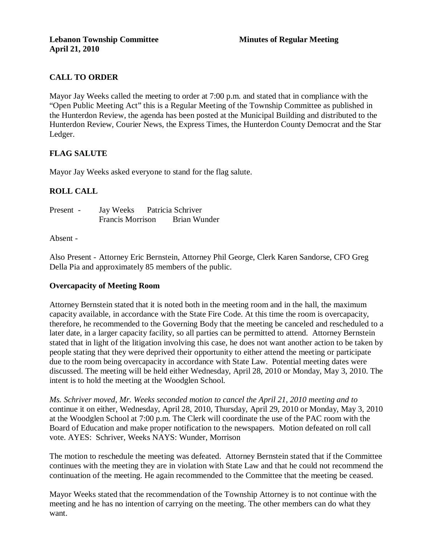# **CALL TO ORDER**

Mayor Jay Weeks called the meeting to order at 7:00 p.m. and stated that in compliance with the "Open Public Meeting Act" this is a Regular Meeting of the Township Committee as published in the Hunterdon Review, the agenda has been posted at the Municipal Building and distributed to the Hunterdon Review, Courier News, the Express Times, the Hunterdon County Democrat and the Star Ledger.

## **FLAG SALUTE**

Mayor Jay Weeks asked everyone to stand for the flag salute.

## **ROLL CALL**

| Present - | Jay Weeks               |  | Patricia Schriver |
|-----------|-------------------------|--|-------------------|
|           | <b>Francis Morrison</b> |  | Brian Wunder      |

#### Absent -

Also Present - Attorney Eric Bernstein, Attorney Phil George, Clerk Karen Sandorse, CFO Greg Della Pia and approximately 85 members of the public.

## **Overcapacity of Meeting Room**

Attorney Bernstein stated that it is noted both in the meeting room and in the hall, the maximum capacity available, in accordance with the State Fire Code. At this time the room is overcapacity, therefore, he recommended to the Governing Body that the meeting be canceled and rescheduled to a later date, in a larger capacity facility, so all parties can be permitted to attend. Attorney Bernstein stated that in light of the litigation involving this case, he does not want another action to be taken by people stating that they were deprived their opportunity to either attend the meeting or participate due to the room being overcapacity in accordance with State Law. Potential meeting dates were discussed. The meeting will be held either Wednesday, April 28, 2010 or Monday, May 3, 2010. The intent is to hold the meeting at the Woodglen School.

*Ms. Schriver moved, Mr. Weeks seconded motion to cancel the April 21, 2010 meeting and to*  continue it on either, Wednesday, April 28, 2010, Thursday, April 29, 2010 or Monday, May 3, 2010 at the Woodglen School at 7:00 p.m. The Clerk will coordinate the use of the PAC room with the Board of Education and make proper notification to the newspapers. Motion defeated on roll call vote. AYES: Schriver, Weeks NAYS: Wunder, Morrison

The motion to reschedule the meeting was defeated. Attorney Bernstein stated that if the Committee continues with the meeting they are in violation with State Law and that he could not recommend the continuation of the meeting. He again recommended to the Committee that the meeting be ceased.

Mayor Weeks stated that the recommendation of the Township Attorney is to not continue with the meeting and he has no intention of carrying on the meeting. The other members can do what they want.